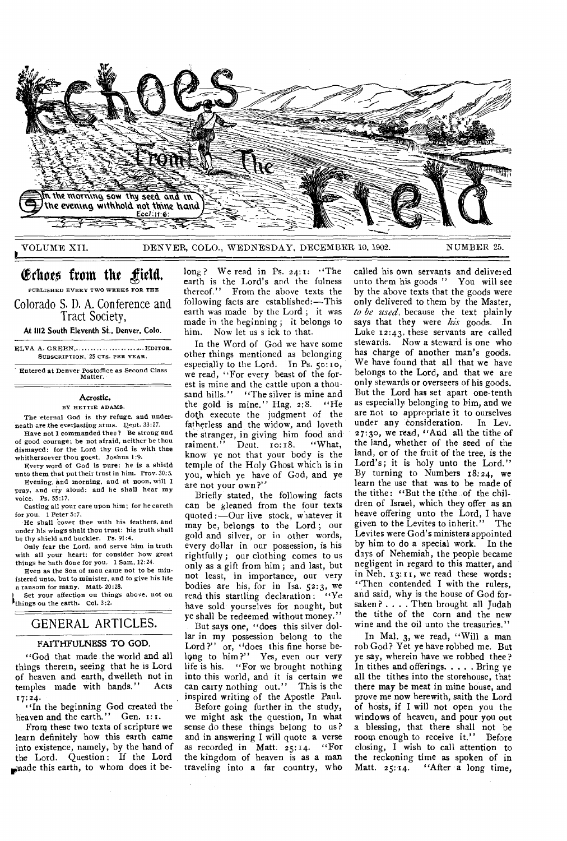

VOLUME XII, DENVER, COLO., WEDNESDAY, DECEMBER 10, 1902. NUMBER 25.

# Echoes from the field.

PUBLISHED EVERY TWO WEEKS FOR THE Colorado S. D. A. Conference and

Tract Society,

At 1112 South Eleventh St., Denver, Colo.

ELVA A. GREEN,......................... EDITOR. SUBSCRIPTION, 25 CTS. PER YEAR.

Entered at Denver Postoffice as Second Class Matter.

## Acrostic.

BY HETTIE ADAMS.

The eternal God is thy refuge, and underneath are the everlasting arms. Deut. 33:27.

Have not I commanded thee? Be strong and of good courage; be not afraid, neither be thou dismayed: for the Lord thy God is with thee whithersoever thou goest. Joshua 1:9.

Every word of God is pure: he is a shield unto them that put their trust in him. Prov. 30:5. Evening, and morning, and at noon, will I

pray, and cry aloud: and he shall hear my voice. Ps. 55:17.

Casting all your care upon him; for he careth for you. 1 Peter 5:7.

He shall cover thee with his feathers, and under his wings shalt thou trust: his truth shall be thy shield and buckler. Ps. 91:4.

Only fear the Lord, and serve him in truth with all your heart: for consider how great things he hath done for you. 1 Sam. 12:24.

Even as the Son of man came not to be ministered unto, but to minister, and to give his life a ransom for many. Matt. 20:28.

Set your affection on things above, not on things on the earth. Col. 3:2.

## GENERAL ARTICLES.

## FAITHFULNESS TO GOD.

"God that made the world and all things therein, seeing that he is Lord of heaven and earth, dwelleth not in<br>temples made with hands." Acts temples made with hands." 17:24.

"In the beginning God created the heaven and the earth." Gen. 1:1.

From these two texts of scripture we learn definitely how this earth came into existence, namely, by the hand of the Lord. Question: If the Lord made this earth, to whom does it be-

long? We read in Ps. 24:1: "The earth is the Lord's and the fulness<br>thereof.'' From the above texts the From the above texts the following facts are established:---This earth was made by the Lord ; it was made in the beginning ; it belongs to him. Now let us s ick to that.

In the Word of God we have some other things mentioned as belonging especially to the Lord. In Ps. 50:10, we read, ''For every beast of the forest is mine and the cattle upon a thousand hills." "The silver is mine and the gold is mine." Hag, 2:8. "He doth execute the judgment of the fatherless and the widow, and loveth the stranger, in giving him food and<br>raiment." Deut. 10:18. "What, Deut.  $\text{IO: I8.}$ know ye not that your body is the temple of the Holy Ghost which is in you, which ye have of God, and ye are not your own?"

Briefly stated, the following facts can be gleaned from the four texts quoted :  $-$ Our live stock, whatever it may be, belongs to the Lord; our gold and silver, or in other words, every dollar in our possession, is his rightfully ; our clothing comes to us only as a gift from him ; and last, but not least, in importance, our very bodies are his, for in Isa. 52:3, we<br>read this startling declaration: "Ye read this startling declaration : have sold yourselves for nought, but ye shall be redeemed without money."

But says one, "does this silver dollar in my possession belong to the Lord?" or, "does this fine horse belong to him?" Yes, even our very life is his. "For we brought nothing into this world, and it is certain we can carry nothing out." This is the inspired writing of the Apostle Paul.

Before going further in the study, we might ask the question, In what sense do these things belong to us? and in answering I will quote a verse as recorded in Matt.  $25:14$ . "For the kingdom of heaven is as a man traveling into a far country, who

called his own servants and delivered unto them his goods " You will see by the above texts that the goods were only delivered to them by the Master, *to be used,* because the text plainly says that they were  $his$  goods. In Luke 12:43, these servants are called stewards. Now a steward is one who has charge of another man's goods. We have found that all that we have belongs to the Lord, and that we are only stewards or overseers of his goods. But the Lord has set apart one-tenth as especially belonging to him, and we are not to appropriate it to ourselves under any consideration. In Lev. 27:3o, we read, "Arid all the tithe of the land, whether of the seed of the land, or of the fruit of the tree, is the Lord's; it is holy unto the Lord." By turning to Numbers 18:24, we learn the use that was to be made of the tithe: "But the tithe of the children of Israel, which they offer as an heave offering unto the Lord, I have given to the Levites to inherit." The Levites were God's ministers appointed by him to do a special work. In the days of Nehemiah, the people became negligent in regard to this matter, and in Neh. 13: r, we read these words: "Then contended I with the rulers, and said, why is the house of God forsaken?  $\ldots$  . Then brought all Judah the tithe of the corn and the new wine and the oil unto the treasuries."

In Mal. 3, we read, "Will a man rob God? Yet ye have robbed me. But ye say, wherein have we robbed thee? In tithes and offerings.  $\ldots$  Bring ye all the tithes into the storehouse, that there may be meat in mine house, and prove me now herewith, saith the Lord of hosts, if I will not open you the windows of heaven, and pour you out a blessing, that there shall not be room enough to receive it." Before closing, I wish to call attention to the reckoning time as spoken of in<br>Matt. 25:14. ''After a long time, "After a long time,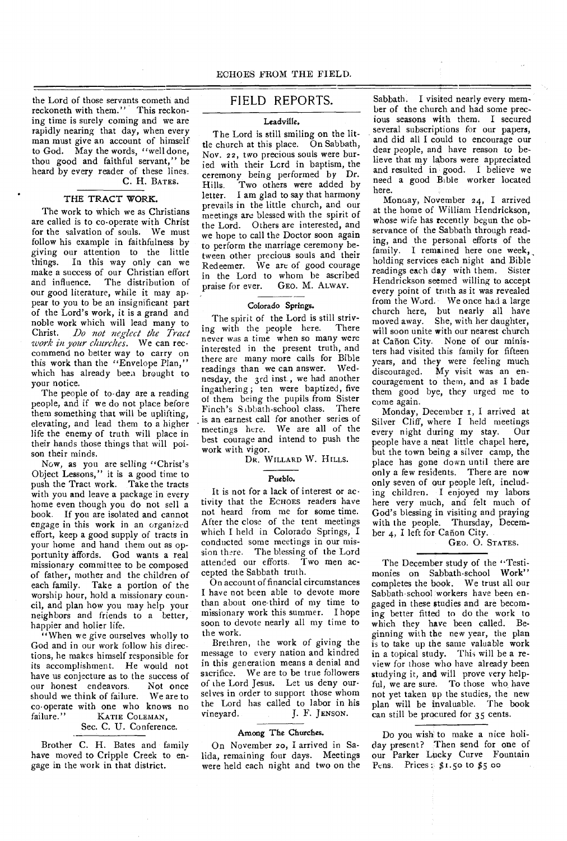the Lord of those servants cometh and reckoneth with them." This reckoning time is surely coming and we are rapidly nearing that day, when every man must give an account of himself to God. May the words, "well done, thou good and faithful servant," be heard by every reader of these lines. C. H. BATES.

### THE TRACT WORK.

The work to which we as Christians are called is to co-operate with Christ for the salvation of souls. We must follow his example in faithfulness by giving our attention to the little things. In this way only can we make a success of our Christian effort and influence. The distribution of our good literature, while it may appear to you to be an insignificant part of the Lord's work, it is a grand and noble work which will lead many to Christ. *Do not neglect the Tract work in your churches.* We can reccommend no better way to carry on this work than the "Envelope Plan," which has already been brought to your notice.

The people of to-day are a reading people, and if we do not place before them something that will be uplifting, elevating, and lead them to a higher life the enemy of truth will place in their hands those things that will poison their minds.

Now, as you are selling "Christ's Object Lessons," it is a good time to push the Tract work. Take the tracts with you and leave a package in every home even though you do not sell a book. If you are isolated and cannot engage in this work in an organized effort, keep *a* good supply of tracts in your home and hand them out as opportunity affords. God wants a real missionary committee to be composed of father, mother and the children of each family. Take a portion of the worship hour, hold a missionary council, and plan how you may help your neighbors and friends to a better, happier and holier life.

"When we give ourselves wholly to God and in our work follow his directions, he makes himself responsible for its accomplishment. He would not have us conjecture as to the success of<br>our honest endeavors. Not once our honest endeavors. Not once<br>should we think of failure. We are to should we think of failure. co-operate with one who knows no<br>failure." KATIE COLEMAN. KATIE COLEMAN.

## Sec. C. U. Conference.

Brother C. H. Bates and family have moved to Cripple Creek to engage in the work in that district.

## FIELD REPORTS.

## Leadville,

The Lord is still smiling on the little church at this place. On Sabbath, Nov. 22, two precious souls were buried with their Lcrd in baptism, the ceremony being performed by Dr.<br>Hills. Two others were added by Two others were added by letter. I am glad to say that harmony prevails in the little church, and our meetings are blessed with the spirit of the Lord. Others are interested, and we hope to call the Doctor soon again to perform the marriage ceremony between other precious souls and their Redeemer. We are of good courage in the Lord to whom be ascribed<br>praise for ever. GEO. M. ALWAY. GEO. M. ALWAY.

## Colorado Springs.

The spirit of the Lord is still striving with the people here. There never was a time when so many were interested in the present truth, and there are many more calls for Bible readings than we can answer. Wednesday, the 3rd inst., we had another ingathering ; ten were baptized, five of them being the pupils from Sister<br>Finch's Sabbath-school class. There Finch's Sabbath-school class. is an earnest call for another series of meetings here. We are all of the best courage and intend to push the work with vigor.

DR. WILLARD W. HILLS.

#### Pueblo.

It is not for a lack of interest or activity that the ECHOES readers have not heard from me for some time. After the close of the tent meetings which I held in Colorado Springs, I conducted some meetings in our mission there. The blessing of the Lord attended our efforts. Two men accepted the Sabbath truth.

On account of financial circumstances I have not been able to devote more than about one-third of my time to missionary work this summer. I hope soon to devote nearly all my time to the work.

Brethren, the work of giving the message to every nation and kindred in this generation means a denial and sacrifice. We are to be true followers of the Lord Jesus. Let us deny ourselves in order to support those whom the Lord has called to labor in his vineyard. J. F. JENSON.

#### Among The Churches.

On November 20, I arrived in Salida, remaining four days. Meetings were held each night and two on the

Sabbath. I visited nearly every member of the church and had some precious seasons with them. I secured several subscriptions for our papers, and did all I could to encourage our dear people, and have reason to believe that my labors were appreciated and resulted in good. I believe we need a good Bible worker located here.

Monaay, November 24, I arrived at the home of William Hendrickson, whose wife has recently begun the observance of the Sabbath through reading, and the personal efforts of the family. I remained here one week, holding services each night and Bible readings each day with them. Sister Hendrickson seemed willing to accept *every* point of truth as it was revealed from the Word. We once had *a* large church here, but nearly all have moved away. She, with her daughter, will soon unite with our nearest church at Cañon City. None of our ministers had visited this family for fifteen years, and they were feeling much discouraged. My visit was an encouragement to them, and as I bade them good bye, they urged me to come again.

Monday, December r, I arrived at Silver Cliff, where I held meetings every night during my stay. Our people have a neat little chapel here, but the town being a silver camp, the place has gone down until there are only a few residents. There are now only seven of our people left, including children. I enjoyed my labors here very much, and felt much of God's blessing in visiting and praying with the people. Thursday, December 4, I left for Cañon City.

## GEO. O. STATES.

The December study of the "Testimonies on Sabbath-school Work" completes the book. We trust all our Sabbath-school workers have been engaged in these studies and are becoming better fitted to do the work to which they have been called. Beginning with the new year, the plan is to take up the same valuable work in a topical study. This will be a review for those who have already been studying it, and will prove very helpful, we are sure. To those who have not yet taken up the studies, the new plan will be invaluable. The book can still be procured for 35 cents.

Do you wish to make a nice holiday present? Then send for one of our Parker Lucky Curve Fountain Pens. Prices:  $$1.50$  to  $$5$  oo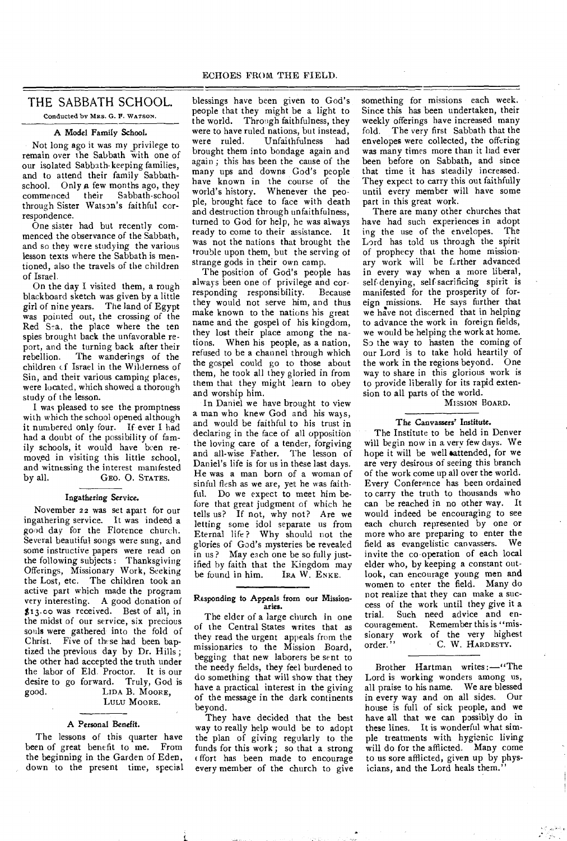## THE SABBATH SCHOOL.

Conducted by MRS. G. P. WATSON.

## A Model Family School.

Not long ago it was my privilege to remain over the Sabbath with one of our isolated Sabbath-keeping families, and to attend their family Sabbathschool. Only a few months ago, they commenced their Sabbath-school through Sister Watson's faithful correspondence.

One sister had but recently commenced the observance of the Sabbath, and so they were studying the various lesson texts where the Sabbath is mentioned, also the travels of the children of Israel.

On the day I visited them, a rough blackboard sketch was given by a little girl of nine years. The land of Egypt was pointed out, the crossing of the Red Sea, the place where the ten spies brought back the unfavorable report, and the turning back after their rebellion. The wanderings of the children of Israel in the Wilderness of Sin, and their various camping places, were located, which showed a thorough study of the lesson.

I was pleased to see the promptness with which the school opened although it numbered only four. If ever I had had a doubt of the possibility of family schools, it would have been removed in visiting this little school, and witnessing the interest manifested<br>by all. GEO. O. STATES. GEO. O. STATES.

## Ingathering Service.

November 22 was set apart for our ingathering service. It was indeed a good day for the Florence church. Several beautiful songs were sung, and some instructive papers were read on the following subjects : Thanksgiving Offerings, Missionary Work, Seeking the Lost, etc. The children took an active part which made the program very interesting. A good donation of \$13.00 was received. Best of all, in the midst of our service, six precious souls were gathered into the fold of Christ. Five of these had been baptized the previous day by Dr. Hills ; the other had accepted the truth under the labor of Eld. Proctor. It is our desire to go forward. Truly, God is good. LIDA B. MOORE, LIDA B. MOORE, LULU MOORE.

## A Personal Benefit.

The lessons of this quarter have been of great benefit to me. From the beginning in the Garden of Eden, down to the present time, special blessings have been given to God's people that they might be a light to the world. Through faithfulness, they were to have ruled nations, but instead,<br>were ruled. Unfaithfulness had Unfaithfulness had brought them into bondage again and again; this has been the cause of the many ups and downs God's people have known in the course of the world's history. Whenever the people, brought face to face with death and destruction through unfaithfulness, turned to God for help, he was always ready to come to their assistance. It was not the nations that brought the trouble upon them, but the serving of strange gods in their own camp.

The position of God's people has always been one of privilege and corresponding responsibility. Because they would not serve him, and thus make known to the nations his great name and the gospel of his kingdom, they lost their place among the nations. When his people, as a nation, refused to be a channel through which the gospel could go to those about them, he took all they gloried in from them that they might learn to obey and worship him.

In Daniel we have brought to view a man who knew God and his ways, and would be faithful to his trust in declaring in the face of all opposition the loving care of a tender, forgiving and all-wise Father. The lesson of Daniel's life is for us in these last days. He was a man born of a woman of sinful flesh as we are, yet he was faithful. Do we expect to meet him before that great judgment of which he tells us? If not, why not? Are we letting some idol separate us from Eternal life? Why should not the glories of God's mysteries be revealed in us? May each one be so fully justified by faith that the Kingdom may<br>be found in him. IRA W. ENKE. be found in him.

#### Responding to Appeals from our Missionaries.

The elder of a large church in one of the Central States writes that as they read the urgent appeals from the missionaries to the Mission Board, begging that new laborers be sent to the needy fields, they feel burdened to do something that will show that they have a practical interest in the giving of the message in the dark continents beyond.

They have decided that the best way to really help would be to adopt the plan of giving regularly to the funds for this work ; so that a strong ffort has been made to encourage every member of the church to give

something for missions each week. Since this has been undertaken, their weekly offerings have increased many fold. The very first Sabbath that the envelopes were collected, the offering was many times more than it had ever been before on Sabbath, and since that time it has steadily increased. They expect to carry this out faithfully until every member will have some part in this great work.

There are many other churches that have had such experiences in adopt ing the use of the envelopes. The Lord has told us through the spirit of prophecy that the home missionary work will be farther advanced in every way when a more liberal, self-denying, self-sacrificing spirit is manifested for the prosperity of foreign missions. He says further that we have not discerned that in helping to advance the work in foreign fields, we would be helping the work at home. So the way to hasten the coming of our Lord is to take hold heartily of the work in the regions beyond. One way to share in this glorious work is to provide liberally for its rapid extension to all parts of the world.

MISSION BOARD.

#### The Canvassers' Institute.

The Institute to be held in Denver will begin now in a very few days. We hope it will be well eattended, for we are very desirous of seeing this branch of the work come up all over the world. Every Conference has been ordained to carry the truth to thousands who can be reached in no other way. It would indeed be encouraging to see each church represented by one or more who are preparing to enter the field as evangelistic canvassers. We invite the co-operation of each local elder who, by keeping a constant outlook, can encourage young men and women to enter the field. Many do not realize that they can make a success of the work until they give it a trial. Such need advice and encouragement. Remember this is "missionary work of the very highest order." C. W. HARDESTY.

Brother Hartman writes :—"The Lord is working wonders among us, all praise to his name. We are blessed in every way and on all sides. Our house is full of sick people, and we have all that we can possibly do in these lines. It is wonderful what simple treatments with hygienic living will do for the afflicted. Many come to us sore afflicted, given up by physicians, and the Lord heals them."